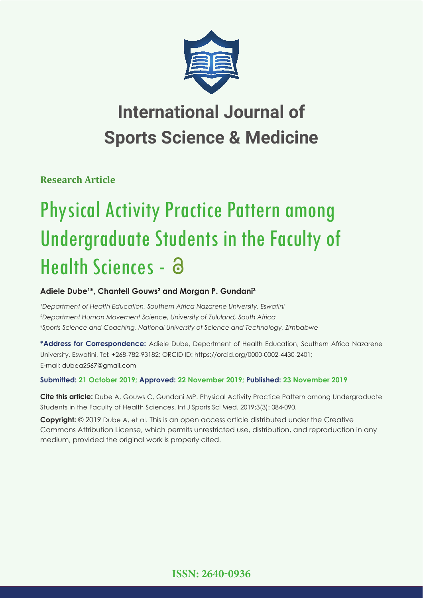

**Research Article**

# Physical Activity Practice Pattern among Undergraduate Students in the Faculty of Health Sciences - a

## Adiele Dube<sup>1\*</sup>, Chantell Gouws<sup>2</sup> and Morgan P. Gundani<sup>3</sup>

*'Department of Health Education, Southern Africa Nazarene University, Eswatini ²Department Human Movement Science, University of Zululand, South Africa ³Sports Science and Coaching, National University of Science and Technology, Zimbabwe*

**\*Address for Correspondence:** Adiele Dube, Department of Health Education, Southern Africa Nazarene University, Eswatini, Tel: +268-782-93182; ORCID ID: https://orcid.org/0000-0002-4430-2401; E-mail: dubea2567@gmail.com

### **Submitted: 21 October 2019; Approved: 22 November 2019; Published: 23 November 2019**

**Cite this article:** Dube A, Gouws C, Gundani MP. Physical Activity Practice Pattern among Undergraduate Students in the Faculty of Health Sciences. Int J Sports Sci Med. 2019;3(3): 084-090.

**Copyright:** © 2019 Dube A, et al. This is an open access article distributed under the Creative Commons Attribution License, which permits unrestricted use, distribution, and reproduction in any medium, provided the original work is properly cited.

**ISSN: 2640-0936**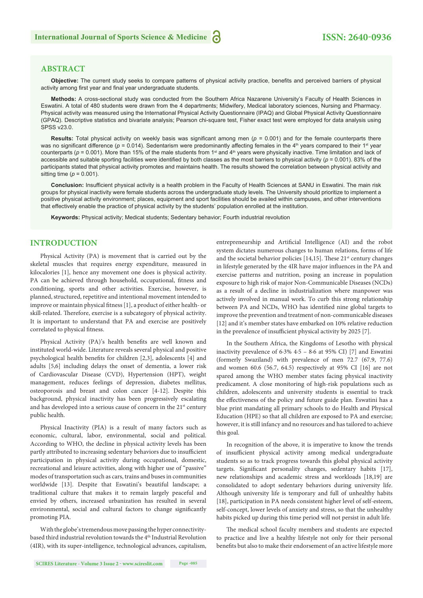#### **ABSTRACT**

Objective: The current study seeks to compare patterns of physical activity practice, benefits and perceived barriers of physical activity among first year and final year undergraduate students.

**Methods:** A cross-sectional study was conducted from the Southern Africa Nazarene University's Faculty of Health Sciences in Eswatini. A total of 480 students were drawn from the 4 departments; Midwifery, Medical laboratory sciences, Nursing and Pharmacy. Physical activity was measured using the International Physical Activity Questionnaire (IPAQ) and Global Physical Activity Questionnaire (GPAQ). Descriptive statistics and bivariate analysis; Pearson chi-square test, Fisher exact test were employed for data analysis using SPSS v23.0.

**Results:** Total physical activity on weekly basis was significant among men  $(p = 0.001)$  and for the female counterparts there was no significant difference ( $p = 0.014$ ). Sedentarism were predominantly affecting females in the  $4<sup>th</sup>$  years compared to their 1<sup>st</sup> year counterparts ( $p = 0.001$ ). More than 15% of the male students from 1<sup>st</sup> and 4<sup>th</sup> years were physically inactive. Time limitation and lack of accessible and suitable sporting facilities were identified by both classes as the most barriers to physical activity ( $p = 0.001$ ). 83% of the participants stated that physical activity promotes and maintains health. The results showed the correlation between physical activity and sitting time  $(p = 0.001)$ .

**Conclusion:** Insufficient physical activity is a health problem in the Faculty of Health Sciences at SANU in Eswatini. The main risk groups for physical inactivity were female students across the undergraduate study levels. The University should prioritize to implement a positive physical activity environment; places, equipment and sport facilities should be availed within campuses, and other interventions that effectively enable the practice of physical activity by the students' population enrolled at the institution.

**Keywords:** Physical activity; Medical students; Sedentary behavior; Fourth industrial revolution

#### **INTRODUCTION**

Physical Activity (PA) is movement that is carried out by the skeletal muscles that requires energy expenditure, measured in kilocalories [1], hence any movement one does is physical activity. PA can be achieved through household, occupational, fitness and conditioning, sports and other activities. Exercise, however, is planned, structured, repetitive and intentional movement intended to improve or maintain physical fitness [1], a product of either health- or skill-related. Therefore, exercise is a subcategory of physical activity. It is important to understand that PA and exercise are positively correlated to physical fitness.

Physical Activity (PA)'s health benefits are well known and instituted world-wide. Literature reveals several physical and positive psychological health benefits for children  $[2,3]$ , adolescents  $[4]$  and adults [5,6] including delays the onset of dementia, a lower risk of Cardiovascular Disease (CVD), Hypertension (HPT), weight management, reduces feelings of depression, diabetes mellitus, osteoporosis and breast and colon cancer [4-12]. Despite this background, physical inactivity has been progressively escalating and has developed into a serious cause of concern in the 21<sup>st</sup> century public health.

Physical Inactivity (PIA) is a result of many factors such as economic, cultural, labor, environmental, social and political. According to WHO, the decline in physical activity levels has been partly attributed to increasing sedentary behaviors due to insufficient participation in physical activity during occupational, domestic, recreational and leisure activities, along with higher use of "passive" modes of transportation such as cars, trains and buses in communities worldwide [13]. Despite that Eswatini's beautiful landscape; a traditional culture that makes it to remain largely peaceful and envied by others, increased urbanization has resulted in several environmental, social and cultural factors to change significantly promoting PIA.

With the globe's tremendous move passing the hyper connectivitybased third industrial revolution towards the 4<sup>th</sup> Industrial Revolution (4IR), with its super-intelligence, technological advances, capitalism,

(formerly Swaziland) with prevalence of men 72.7 (67.9, 77.6) and women 60.6 (56.7, 64.5) respectively at 95% CI [16] are not spared among the WHO member states facing physical inactivity predicament. A close monitoring of high-risk populations such as children, adolescents and university students is essential to track the effectiveness of the policy and future guide plan. Eswatini has a blue print mandating all primary schools to do Health and Physical Education (HPE) so that all children are exposed to PA and exercise; however, it is still infancy and no resources and has tailored to achieve this goal.

> In recognition of the above, it is imperative to know the trends of insufficient physical activity among medical undergraduate students so as to track progress towards this global physical activity targets. Significant personality changes, sedentary habits [17], new relationships and academic stress and workloads [18,19] are consolidated to adopt sedentary behaviors during university life. Although university life is temporary and full of unhealthy habits [18], participation in PA needs consistent higher level of self-esteem, self-concept, lower levels of anxiety and stress, so that the unhealthy habits picked up during this time period will not persist in adult life.

> entrepreneurship and Artificial Intelligence (AI) and the robot system dictates numerous changes to human relations, forms of life and the societal behavior policies  $[14,15]$ . These  $21<sup>st</sup>$  century changes in lifestyle generated by the 4IR have major influences in the PA and exercise patterns and nutrition, posing an increase in population exposure to high risk of major Non-Communicable Diseases (NCDs) as a result of a decline in industrialization where manpower was actively involved in manual work. To curb this strong relationship between PA and NCDs, WHO has identified nine global targets to improve the prevention and treatment of non-communicable diseases [12] and it's member states have embarked on 10% relative reduction in the prevalence of insufficient physical activity by 2025 [7].

> In the Southern Africa, the Kingdoms of Lesotho with physical inactivity prevalence of 6·3% 4·5 – 8·6 at 95% CI) [7] and Eswatini

> The medical school faculty members and students are expected to practice and live a healthy lifestyle not only for their personal benefits but also to make their endorsement of an active lifestyle more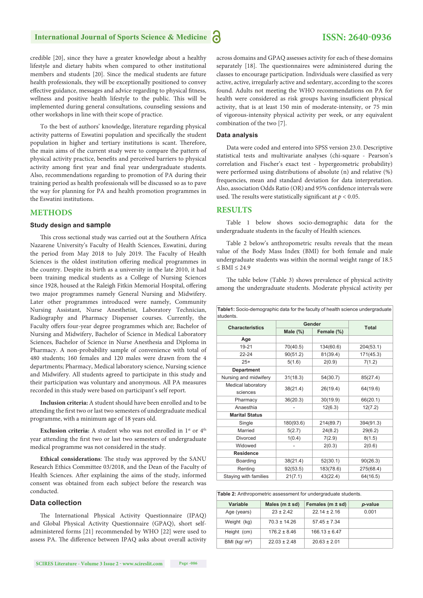credible [20], since they have a greater knowledge about a healthy lifestyle and dietary habits when compared to other institutional members and students [20]. Since the medical students are future health professionals, they will be exceptionally positioned to convey effective guidance, messages and advice regarding to physical fitness, wellness and positive health lifestyle to the public. This will be implemented during general consultations, counseling sessions and other workshops in line with their scope of practice.

To the best of authors' knowledge, literature regarding physical activity patterns of Eswatini population and specifically the student population in higher and tertiary institutions is scant. Therefore, the main aims of the current study were to compare the pattern of physical activity practice, benefits and perceived barriers to physical activity among first year and final year undergraduate students. Also, recommendations regarding to promotion of PA during their training period as health professionals will be discussed so as to pave the way for planning for PA and health promotion programmes in the Eswatini institutions.

#### **METHODS**

#### **Study design and sample**

This cross sectional study was carried out at the Southern Africa Nazarene University's Faculty of Health Sciences, Eswatini, during the period from May 2018 to July 2019. The Faculty of Health Sciences is the oldest institution offering medical programmes in the country. Despite its birth as a university in the late 2010, it had been training medical students as a College of Nursing Sciences since 1928, housed at the Raleigh Fitkin Memorial Hospital, offering two major programmes namely General Nursing and Midwifery. Later other programmes introduced were namely, Community Nursing Assistant, Nurse Anesthetist, Laboratory Technician, Radiography and Pharmacy Dispenser courses. Currently, the Faculty offers four-year degree programmes which are; Bachelor of Nursing and Midwifery, Bachelor of Science in Medical Laboratory Sciences, Bachelor of Science in Nurse Anesthesia and Diploma in Pharmacy. A non-probability sample of convenience with total of 480 students; 160 females and 120 males were drawn from the 4 departments; Pharmacy, Medical laboratory science, Nursing science and Midwifery. All students agreed to participate in this study and their participation was voluntary and anonymous. All PA measures recorded in this study were based on participant's self report.

**Inclusion criteria:** A student should have been enrolled and to be attending the first two or last two semesters of undergraduate medical programme, with a minimum age of 18 years old.

**Exclusion criteria:** A student who was not enrolled in 1<sup>st</sup> or 4<sup>th</sup> year attending the first two or last two semesters of undergraduate medical programme was not considered in the study.

Ethical considerations: The study was approved by the SANU Research Ethics Committee 03/2018, and the Dean of the Faculty of Health Sciences. After explaining the aims of the study, informed consent was obtained from each subject before the research was conducted.

#### **Data collection**

The International Physical Activity Questionnaire (IPAQ) and Global Physical Activity Questionnaire (GPAQ), short selfadministered forms [21] recommended by WHO [22] were used to assess PA. The difference between IPAQ asks about overall activity across domains and GPAQ assesses activity for each of these domains separately [18]. The questionnaires were administered during the classes to encourage participation. Individuals were classified as very active, active, irregularly active and sedentary, according to the scores found. Adults not meeting the WHO recommendations on PA for health were considered as risk groups having insufficient physical activity, that is at least 150 min of moderate-intensity, or 75 min of vigorous-intensity physical activity per week, or any equivalent combination of the two [7].

#### **Data analysis**

Data were coded and entered into SPSS version 23.0. Descriptive statistical tests and multivariate analyses (chi-square - Pearson's correlation and Fischer's exact test - hypergeometric probability) were performed using distributions of absolute (n) and relative (%) frequencies, mean and standard deviation for data interpretation. Also, association Odds Ratio (OR) and 95% confidence intervals were used. The results were statistically significant at  $p < 0.05$ .

#### **RESULTS**

Table 1 below shows socio-demographic data for the undergraduate students in the faculty of Health sciences.

Table 2 below's anthropometric results reveals that the mean value of the Body Mass Index (BMI) for both female and male undergraduate students was within the normal weight range of 18.5  $\le$  BMI  $\le$  24.9

The table below (Table 3) shows prevalence of physical activity among the undergraduate students. Moderate physical activity per

**Table1:** Socio-demographic data for the faculty of health science undergraduate

| students.                      |             |              |           |  |  |
|--------------------------------|-------------|--------------|-----------|--|--|
| <b>Characteristics</b>         | Gender      | <b>Total</b> |           |  |  |
|                                | Male $(\%)$ | Female (%)   |           |  |  |
| Age                            |             |              |           |  |  |
| 19-21                          | 70(40.5)    | 134(60.6)    | 204(53.1) |  |  |
| 22-24                          | 90(51.2)    | 81(39.4)     | 171(45.3) |  |  |
| $25+$                          | 5(1.6)      | 2(0.9)       | 7(1.2)    |  |  |
| <b>Department</b>              |             |              |           |  |  |
| Nursing and midwifery          | 31(18.3)    | 54(30.7)     | 85(27.4)  |  |  |
| Medical laboratory<br>sciences | 38(21.4)    | 26(19.4)     | 64(19.6)  |  |  |
| Pharmacy                       | 36(20.3)    | 30(19.9)     | 66(20.1)  |  |  |
| Anaesthia                      |             | 12(6.3)      | 12(7.2)   |  |  |
| <b>Marital Status</b>          |             |              |           |  |  |
| Single                         | 180(93.6)   | 214(89.7)    | 394(91.3) |  |  |
| Married                        | 5(2.7)      | 24(8.2)      | 29(6.2)   |  |  |
| <b>Divorced</b>                | 1(0.4)      | 7(2.9)       | 8(1.5)    |  |  |
| Widowed                        |             | 2(0.3)       | 2(0.6)    |  |  |
| Residence                      |             |              |           |  |  |
| Boarding                       | 38(21.4)    | 52(30.1)     | 90(26.3)  |  |  |
| Renting                        | 92(53.5)    | 183(78.6)    | 275(68.4) |  |  |
| Staying with families          | 21(7.1)     | 43(22.4)     | 64(16.5)  |  |  |

| Table 2: Anthropometric assessment for undergraduate students. |  |
|----------------------------------------------------------------|--|
|----------------------------------------------------------------|--|

| Variable        | Males ( $m \pm sd$ ) | Females $(m \pm sd)$ | p-value |
|-----------------|----------------------|----------------------|---------|
| Age (years)     | $23 + 242$           | $22.14 \pm 2.16$     | 0.001   |
| Weight (kg)     | $70.3 \pm 14.26$     | $57.45 \pm 7.34$     |         |
| Height (cm)     | $176.2 \pm 8.46$     | $166.13 \pm 6.47$    |         |
| BMI ( $kq/m2$ ) | $22.03 \pm 2.48$     | $20.63 \pm 2.01$     |         |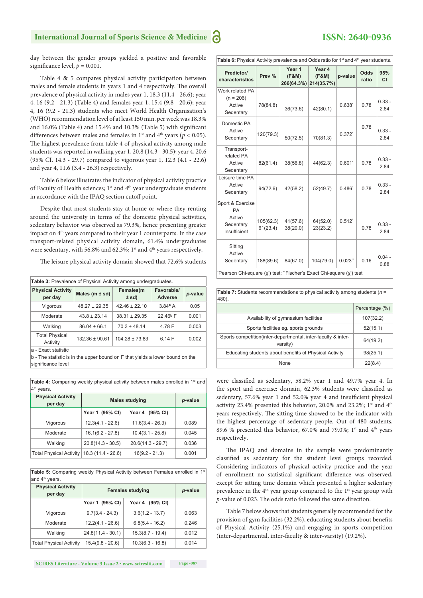day between the gender groups yielded a positive and favorable significance level,  $p = 0.001$ .

Table 4 & 5 compares physical activity participation between males and female students in years 1 and 4 respectively. The overall prevalence of physical activity in males year 1, 18.3 (11.4 - 26.6); year 4, 16 (9.2 - 21.3) (Table 4) and females year 1, 15.4 (9.8 - 20.6); year 4, 16 (9.2 - 21.3) students who meet World Health Organisation's (WHO) recommendation level of at least 150 min. per week was 18.3% and  $16.0\%$  (Table 4) and  $15.4\%$  and  $10.3\%$  (Table 5) with significant differences between males and females in  $1<sup>st</sup>$  and  $4<sup>th</sup>$  years ( $p < 0.05$ ). The highest prevalence from table 4 of physical activity among male students was reported in walking year 1, 20.8 (14.3 - 30.5); year 4, 20.6 (95% CI. 14.3 - 29.7) compared to vigorous year 1, 12.3 (4.1 - 22.6) and year 4, 11.6 (3.4 - 26.3) respectively.

Table 6 below illustrates the indicator of physical activity practice of Faculty of Health sciences; 1<sup>st</sup> and 4<sup>th</sup> year undergraduate students in accordance with the IPAQ section cutoff point.

Despite that most students stay at home or where they renting around the university in terms of the domestic physical activities, sedentary behavior was observed as 79.3%, hence presenting greater impact on 4<sup>th</sup> years compared to their year 1 counterparts. In the case transport-related physical activity domain, 61.4% undergraduates were sedentary, with 56.8% and 62.3%; 1<sup>st</sup> and 4<sup>th</sup> years respectively.

The leisure physical activity domain showed that 72.6% students

| <b>Table 3:</b> Prevalence of Physical Activity among undergraduates. |                    |                      |                              |         |  |
|-----------------------------------------------------------------------|--------------------|----------------------|------------------------------|---------|--|
| <b>Physical Activity</b><br>per day                                   | Males $(m \pm sd)$ | Females(m<br>$±$ sd) | Favorable/<br><b>Adverse</b> | p-value |  |
| Vigorous                                                              | $48.27 \pm 29.35$  | $42.46 \pm 22.10$    | $3.84^{\rm a}$ A             | 0.05    |  |
| Moderate                                                              | $43.8 \pm 23.14$   | $38.31 \pm 29.35$    | 22.46 <sup>b</sup> F         | 0.001   |  |
| Walking                                                               | $86.04 \pm 66.1$   | $70.3 \pm 48.14$     | 4.78 F                       | 0.003   |  |
| <b>Total Physical</b><br>Activity                                     | $132.36 \pm 90.61$ | $104.28 \pm 73.83$   | 6.14F                        | 0.002   |  |
| a - Exact statistic.                                                  |                    |                      |                              |         |  |

a - Exact statistic

b - The statistic is in the upper bound on F that yields a lower bound on the significance level

Table 4: Comparing weekly physical activity between males enrolled in 1<sup>st</sup> and 4<sup>th</sup> vears

| <b>Physical Activity</b><br>per day | <b>Males studying</b> | p-value             |       |
|-------------------------------------|-----------------------|---------------------|-------|
|                                     | Year 1 (95% CI)       | Year 4 (95% CI)     |       |
| Vigorous                            | $12.3(4.1 - 22.6)$    | $11.6(3.4 - 26.3)$  | 0.089 |
| Moderate                            | $16.1(6.2 - 27.8)$    | $10.4(3.1 - 25.8)$  | 0.045 |
| Walking                             | $20.8(14.3 - 30.5)$   | $20.6(14.3 - 29.7)$ | 0.036 |
| <b>Total Physical Activity</b>      | $18.3(11.4 - 26.6)$   | $16(9.2 - 21.3)$    | 0.001 |

Table 5: Comparing weekly Physical Activity between Females enrolled in 1st and  $4<sup>th</sup>$  years.

| <b>Physical Activity</b><br>per day | <b>Females studying</b> | p-value            |       |
|-------------------------------------|-------------------------|--------------------|-------|
|                                     | Year 1 (95% CI)         | Year 4 (95% CI)    |       |
| Vigorous                            | $9.7(3.4 - 24.3)$       | $3.6(1.2 - 13.7)$  | 0.063 |
| Moderate                            | $12.2(4.1 - 26.6)$      | $6.8(5.4 - 16.2)$  | 0.246 |
| Walking                             | $24.8(11.4 - 30.1)$     | $15.3(8.7 - 19.4)$ | 0.012 |
| <b>Total Physical Activity</b>      | $15.4(9.8 - 20.6)$      | $10.3(6.3 - 16.8)$ | 0.014 |

| Table 6: Physical Activity prevalence and Odds ratio for $1st$ and $4th$ year students.                           |                       |                               |                               |                 |                      |                  |
|-------------------------------------------------------------------------------------------------------------------|-----------------------|-------------------------------|-------------------------------|-----------------|----------------------|------------------|
| Predictor/<br>characteristics                                                                                     | Prev %                | Year 1<br>(F&M)<br>266(64.3%) | Year 4<br>(F&M)<br>214(35.7%) | p-value         | <b>Odds</b><br>ratio | 95%<br><b>CI</b> |
| Work related PA<br>$(n = 206)$<br>Active<br>Sedentary                                                             | 78(84.8)              | 36(73.6)                      | 42(80.1)                      | $0.638^{\circ}$ | 0.78                 | $0.33 -$<br>2.84 |
| Domestic PA<br>Active<br>Sedentary                                                                                | 120(79.3)             | 50(72.5)                      | 70(81.3)                      | $0.372^{*}$     | 0.78                 | $0.33 -$<br>2.84 |
| Transport-<br>related PA<br>Active<br>Sedentary                                                                   | 82(61.4)              | 38(56.8)                      | 44(62.3)                      | 0.601'          | 0.78                 | $0.33 -$<br>2.84 |
| Leisure time PA<br>Active<br>Sedentary                                                                            | 94(72.6)              | 42(58.2)                      | 52(49.7)                      | $0.486^*$       | 0.78                 | $0.33 -$<br>2.84 |
| Sport & Exercise<br>PA<br>Active<br>Sedentary<br>Insufficient                                                     | 105(62.3)<br>61(23.4) | 41(57.6)<br>38(20.0)          | 64(52.0)<br>23(23.2)          | $0.512^{*}$     | 0.78                 | $0.33 -$<br>2.84 |
| Sitting<br>Active<br>Sedentary<br>*Discovery Ob: Sanctone 1, 2) (1996) #Fischerds Final Ob: Sanctone 1, 2) (1996) | 188(89.6)             | 84(67.0)                      | 104(79.0)                     | 0.023"          | 0.16                 | $0.04 -$<br>0.88 |

\*Pearson Chi-square (χ<sup>\*</sup>) test; "Fischer's Exact Chi-square (χ<sup>\*</sup>) test

| Table 7: Students recommendations to physical activity among students ( $n =$<br>480). |                |  |  |  |
|----------------------------------------------------------------------------------------|----------------|--|--|--|
|                                                                                        | Percentage (%) |  |  |  |
| Availability of gymnasium facilities                                                   | 107(32.2)      |  |  |  |
| Sports facilities eq. sports grounds                                                   | 52(15.1)       |  |  |  |
| Sports competition (inter-departmental, inter-faculty & inter-<br>varsity)             | 64(19.2)       |  |  |  |
| Educating students about benefits of Physical Activity                                 | 98(25.1)       |  |  |  |
| <b>None</b>                                                                            | 22(8.4)        |  |  |  |

were classified as sedentary, 58.2% year 1 and 49.7% year 4. In the sport and exercise: domain, 62.3% students were classified as sedentary, 57.6% year 1 and 52.0% year 4 and insufficient physical activity 23.4% presented this behavior, 20.0% and 23.2%;  $1^{st}$  and  $4^{th}$ years respectively. The sitting time showed to be the indicator with the highest percentage of sedentary people. Out of 480 students, 89.6 % presented this behavior, 67.0% and 79.0%; 1<sup>st</sup> and 4<sup>th</sup> years respectively.

The IPAQ and domains in the sample were predominantly classified as sedentary for the student level groups recorded. Considering indicators of physical activity practice and the year of enrollment no statistical significant difference was observed, except for sitting time domain which presented a higher sedentary prevalence in the  $4<sup>th</sup>$  year group compared to the  $1<sup>st</sup>$  year group with *p*-value of 0.023. The odds ratio followed the same direction.

Table 7 below shows that students generally recommended for the provision of gym facilities (32.2%), educating students about benefits of Physical Activity (25.1%) and engaging in sports competition (inter-departmental, inter-faculty & inter-varsity) (19.2%).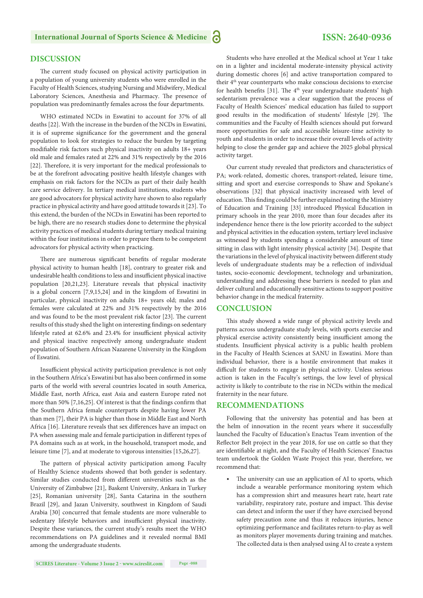#### **DISCUSSION**

The current study focused on physical activity participation in a population of young university students who were enrolled in the Faculty of Health Sciences, studying Nursing and Midwifery, Medical Laboratory Sciences, Anesthesia and Pharmacy. The presence of population was predominantly females across the four departments.

WHO estimated NCDs in Eswatini to account for 37% of all deaths [22]. With the increase in the burden of the NCDs in Eswatini, it is of supreme significance for the government and the general population to look for strategies to reduce the burden by targeting modifiable risk factors such physical inactivity on adults 18+ years old male and females rated at 22% and 31% respectively by the 2016 [22]. Therefore, it is very important for the medical professionals to be at the forefront advocating positive health lifestyle changes with emphasis on risk factors for the NCDs as part of their daily health care service delivery. In tertiary medical institutions, students who are good advocators for physical activity have shown to also regularly practice in physical activity and have good attitude towards it [23]. To this extend, the burden of the NCDs in Eswatini has been reported to be high, there are no research studies done to determine the physical activity practices of medical students during tertiary medical training within the four institutions in order to prepare them to be competent advocators for physical activity when practicing.

There are numerous significant benefits of regular moderate physical activity to human health [18], contrary to greater risk and undesirable health conditions to less and insufficient physical inactive population [20,21,23]. Literature reveals that physical inactivity is a global concern [7,9,15,24] and in the kingdom of Eswatini in particular, physical inactivity on adults 18+ years old; males and females were calculated at 22% and 31% respectively by the 2016 and was found to be the most prevalent risk factor [23]. The current results of this study shed the light on interesting findings on sedentary lifestyle rated at 62.6% and 23.4% for insufficient physical activity and physical inactive respectively among undergraduate student population of Southern African Nazarene University in the Kingdom of Eswatini.

Insufficient physical activity participation prevalence is not only in the Southern Africa's Eswatini but has also been confirmed in some parts of the world with several countries located in south America, Middle East, north Africa, east Asia and eastern Europe rated not more than 50%  $[7,16,25]$ . Of interest is that the findings confirm that the Southern Africa female counterparts despite having lower PA than men [7], their PA is higher than those in Middle East and North Africa [16]. Literature reveals that sex differences have an impact on PA when assessing male and female participation in different types of PA domains such as at work, in the household, transport mode, and leisure time [7], and at moderate to vigorous intensities [15,26,27].

The pattern of physical activity participation among Faculty of Healthy Science students showed that both gender is sedentary. Similar studies conducted from different universities such as the University of Zimbabwe [21], Baskent University, Ankara in Turkey [25], Romanian university [28], Santa Catarina in the southern Brazil [29], and Jazan University, southwest in Kingdom of Saudi Arabia [30] concurred that female students are more vulnerable to sedentary lifestyle behaviors and insufficient physical inactivity. Despite these variances, the current study's results meet the WHO recommendations on PA guidelines and it revealed normal BMI among the undergraduate students.

Students who have enrolled at the Medical school at Year 1 take on in a lighter and incidental moderate-intensity physical activity during domestic chores [6] and active transportation compared to their 4<sup>th</sup> year counterparts who make conscious decisions to exercise for health benefits [31]. The  $4<sup>th</sup>$  year undergraduate students' high sedentarism prevalence was a clear suggestion that the process of Faculty of Health Sciences' medical education has failed to support good results in the modification of students' lifestyle [29]. The communities and the Faculty of Health sciences should put forward more opportunities for safe and accessible leisure-time activity to youth and students in order to increase their overall levels of activity helping to close the gender gap and achieve the 2025 global physical activity target.

Our current study revealed that predictors and characteristics of PA; work-related, domestic chores, transport-related, leisure time, sitting and sport and exercise corresponds to Shaw and Spokane's observations [32] that physical inactivity increased with level of education. This finding could be further explained noting the Ministry of Education and Training [33] introduced Physical Education in primary schools in the year 2010, more than four decades after its independence hence there is the low priority accorded to the subject and physical activities in the education system, tertiary level inclusive as witnessed by students spending a considerable amount of time sitting in class with light intensity physical activity [34]. Despite that the variations in the level of physical inactivity between different study levels of undergraduate students may be a reflection of individual tastes, socio-economic development, technology and urbanization, understanding and addressing these barriers is needed to plan and deliver cultural and educationally sensitive actions to support positive behavior change in the medical fraternity.

#### **CONCLUSION**

This study showed a wide range of physical activity levels and patterns across undergraduate study levels, with sports exercise and physical exercise activity consistently being insufficient among the students. Insufficient physical activity is a public health problem in the Faculty of Health Sciences at SANU in Eswatini. More than individual behavior, there is a hostile environment that makes it difficult for students to engage in physical activity. Unless serious action is taken in the Faculty's settings, the low level of physical activity is likely to contribute to the rise in NCDs within the medical fraternity in the near future.

#### **RECOMMENDATIONS**

Following that the university has potential and has been at the helm of innovation in the recent years where it successfully launched the Faculty of Education's Enactus Team invention of the Reflector Belt project in the year 2018, for use on cattle so that they are identifiable at night, and the Faculty of Health Sciences' Enactus team undertook the Golden Waste Project this year, therefore, we recommend that:

• The university can use an application of AI to sports, which include a wearable performance monitoring system which has a compression shirt and measures heart rate, heart rate variability, respiratory rate, posture and impact. This devise can detect and inform the user if they have exercised beyond safety precaution zone and thus it reduces injuries, hence optimizing performance and facilitates return-to-play as well as monitors player movements during training and matches. The collected data is then analysed using AI to create a system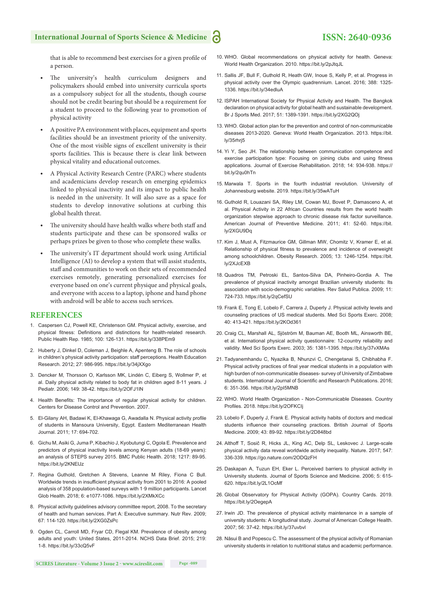

that is able to recommend best exercises for a given profile of a person.

- The university's health curriculum designers and policymakers should embed into university curricula sports as a compulsory subject for all the students, though course should not be credit bearing but should be a requirement for a student to proceed to the following year to promotion of physical activity
- A positive PA environment with places, equipment and sports facilities should be an investment priority of the university. One of the most visible signs of excellent university is their sports facilities. This is because there is clear link between physical vitality and educational outcomes.
- A Physical Activity Research Centre (PARC) where students and academicians develop research on emerging epidemics linked to physical inactivity and its impact to public health is needed in the university. It will also save as a space for students to develop innovative solutions at curbing this global health threat.
- The university should have health walks where both staff and students participate and these can be sponsored walks or perhaps prizes be given to those who complete these walks.
- The university's IT department should work using Artificial Intelligence (AI) to develop a system that will assist students, staff and communities to work on their sets of recommended exercises remotely, generating personalized exercises for everyone based on one's current physique and physical goals, and everyone with access to a laptop, iphone and hand phone with android will be able to access such services.

#### **REFERENCES**

- 1. Caspersen CJ, Powell KE, Christenson GM. Physical activity, exercise, and physical fitness: Definitions and distinctions for health-related research. Public Health Rep. 1985; 100: 126-131. https://bit.ly/338PEm9
- 2. Huberty J, Dinkel D, Coleman J, Beighle A, Apenteng B. The role of schools in children's physical activity participation: staff perceptions. Health Education Research. 2012; 27: 986-995. https://bit.ly/34jXXgo
- 3. Dencker M, Thorsson O, Karlsson MK, Lindén C, Eiberg S, Wollmer P, et al. Daily physical activity related to body fat in children aged 8-11 years. J Pediatr. 2006; 149: 38-42. https://bit.ly/2OFJ1lN
- 4. Health Benefits: The importance of regular physical activity for children. Centers for Disease Control and Prevention. 2007.
- 5. El-Gilany AH, Badawi K, El-Khawaga G, Awadalla N. Physical activity profile of students in Mansoura University, Egypt. Eastern Mediterranean Health Journal. 2011; 17: 694-702.
- 6. Gichu M, Asiki G, Juma P, Kibachio J, Kyobutungi C, Ogola E. Prevalence and predictors of physical inactivity levels among Kenyan adults (18-69 years): an analysis of STEPS survey 2015. BMC Public Health. 2018; 1217: 89-95. https://bit.ly/2KNElJz
- 7. Regina Guthold, Gretchen A Stevens, Leanne M Riley, Fiona C Bull. Worldwide trends in insufficient physical activity from 2001 to 2016: A pooled analysis of 358 population-based surveys with 1·9 million participants. Lancet Glob Health. 2018; 6: e1077-1086. https://bit.ly/2XMkXCc
- 8. Physical activity guidelines advisory committee report, 2008. To the secretary of health and human services. Part A: Executive summary. Nutr Rev. 2009; 67: 114-120. https://bit.ly/2XG0ZsPc
- 9. Ogden CL, Carroll MD, Fryar CD, Flegal KM. Prevalence of obesity among adults and youth: United States, 2011-2014. NCHS Data Brief. 2015; 219: 1-8. https://bit.ly/33cQ5vF
- 10. WHO. Global recommendations on physical activity for health. Geneva: World Health Organization. 2010. https://bit.ly/2pJtqJL
- 11. Sallis JF, Bull F, Guthold R, Heath GW, Inoue S, Kelly P, et al. Progress in physical activity over the Olympic quadrennium. Lancet. 2016; 388: 1325- 1336. https://bit.ly/34edluA
- 12. ISPAH International Society for Physical Activity and Health. The Bangkok declaration on physical activity for global health and sustainable development. Br J Sports Med. 2017; 51: 1389-1391. https://bit.ly/2XG2QOj
- 13. WHO. Global action plan for the prevention and control of non-communicable diseases 2013-2020. Geneva: World Health Organization. 2013. https://bit. ly/35rhrj5
- 14. Yi Y, Seo JH. The relationship between communication competence and exercise participation type: Focusing on joining clubs and using fitness applications. Journal of Exercise Rehabilitation. 2018; 14: 934-938. https:// bit.ly/2qu0hTn
- 15. Marwala T. Sports in the fourth industrial revolution. University of Johannesburg website. 2019. https://bit.ly/35wATuH
- 16. Guthold R, Louazani SA, Riley LM, Cowan MJ, Bovet P, Damasceno A, et al. Physical Activity in 22 African Countries results from the world health organization stepwise approach to chronic disease risk factor surveillance. American Journal of Preventive Medicine. 2011; 41: 52-60. https://bit. ly/2XGU9Dq
- 17. Kim J, Must A, Fitzmaurice GM, Gillman MW, Chomitz V, Kramer E, et al. Relationship of physical fitness to prevalence and incidence of overweight among schoolchildren. Obesity Research. 2005; 13: 1246-1254. https://bit. ly/2XJcEXB
- 18. Quadros TM, Petroski EL, Santos-Silva DA, Pinheiro-Gordia A. The prevalence of physical inactivity amongst Brazilian university students: Its association with socio-demographic variables. Rev Salud Publica. 2009; 11: 724-733. https://bit.ly/2qCefSU
- 19. Frank E, Tong E, Lobelo F, Carrera J, Duperly J. Physical activity levels and counseling practices of US medical students. Med Sci Sports Exerc. 2008; 40: 413-421. https://bit.ly/2KOd361
- 20. Craig CL, Marshall AL, Sjöström M, Bauman AE, Booth ML, Ainsworth BE, et al. International physical activity questionnaire: 12-country reliability and validity. Med Sci Sports Exerc. 2003; 35: 1381-1395. https://bit.ly/37vXMAs
- 21. Tadyanemhandu C, Nyazika B, Nhunzvi C, Chengetanai S, Chibhabha F. Physical activity practices of final year medical students in a population with high burden of non-communicable diseases- survey of University of Zimbabwe students. International Journal of Scientific and Research Publications. 2016: 6: 351-356. https://bit.ly/2pI5MNB
- 22. WHO. World Health Organization Non-Communicable Diseases. Country Profiles. 2018. https://bit.ly/2OFKCIj
- 23. Lobelo F, Duperly J, Frank E. Physical activity habits of doctors and medical students influence their counseling practices. British Journal of Sports Medicine. 2009; 43: 89-92. https://bit.ly/2D848bd
- 24. Althoff T, Sosič R, Hicks JL, King AC, Delp SL, Leskovec J. Large-scale physical activity data reveal worldwide activity inequality. Nature. 2017; 547: 336-339. https://go.nature.com/2ODQzFH
- 25. Daskapan A, Tuzun EH, Eker L. Perceived barriers to physical activity in University students. Journal of Sports Science and Medicine. 2006; 5: 615- 620. https://bit.ly/2L1OcMf
- 26. Global Observatory for Physical Activity (GOPA). Country Cards. 2019. https://bit.ly/2OegepA
- 27. Irwin JD. The prevalence of physical activity maintenance in a sample of university students: A longitudinal study. Journal of American College Health. 2007; 56: 37-42. https://bit.ly/37uvbvl
- 28. Năsui B and Popescu C. The assessment of the physical activity of Romanian university students in relation to nutritional status and academic performance.